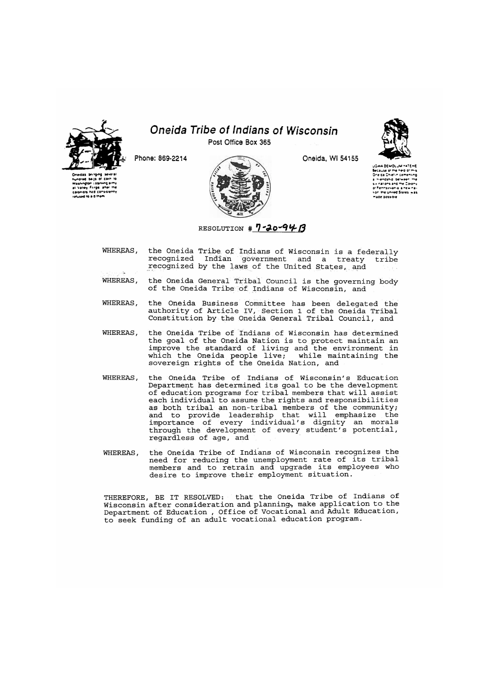

**•vashington** i staning **Colonists had consistently**<br>refused to a 0 them

## *Oneida Tribe of Indians of Wisconsin*

**Post Office Box 365** 



**Phone: 869-2214 Oneida, Wl 54155** 

**jawk DEMOLJM =4TEHE<br>Secause of the heip of this<br>One ca Chief in cementing** a Wendship between the<br>W hations and the Colony o<sup>r p</sup>ennsvivania, a new nai-<br>Honi the United States, was **""•Of t»03»>&.I** 

WHEREAS, the Oneida Tribe of Indians of Wisconsin is a federally recognized Indian government and a treaty tribe recognized by the laws of the United States, and

RESOLUTION # 7-20-94 B

WHEREAS, the Oneida General Tribal Council is the governing body of the Oneida Tribe of Indians of Wisconsin, and

WHEREAS, the Oneida Business Committee has been delegated the authority of Article IV, Section 1 of the Oneida Tribal Constitution by the Oneida General Tribal Council, and

WHEREAS, the Oneida Tribe of Indians of Wisconsin has determined the goal of the Oneida Nation is to protect maintain an improve the standard of living and the environment in which the Oneida people live; while maintaining the sovereign rights of the Oneida Nation, and

- WHEREAS, the Oneida Tribe of Indians of Wisconsin's Education Department has determined its goal to be the development of education programs for tribal members that will assist each individual to assume the rights and responsibilities as both tribal an non-tribal members of the community; and to provide leadership that will emphasize the importance of every individual's dignity an morals through the development of every student's potential, regardless of age, and
- WHEREAS, the Oneida Tribe of Indians of Wisconsin recognizes the need for reducing the unemployment rate of its tribal members and to retrain and upgrade its employees who desire to improve their employment situation.

THEREFORE, BE IT RESOLVED: that the Oneida Tribe of Indians of Wisconsin after consideration and planning., make application to the Department of Education , Office of Vocational and Adult Education, to seek funding of an adult vocational education program.